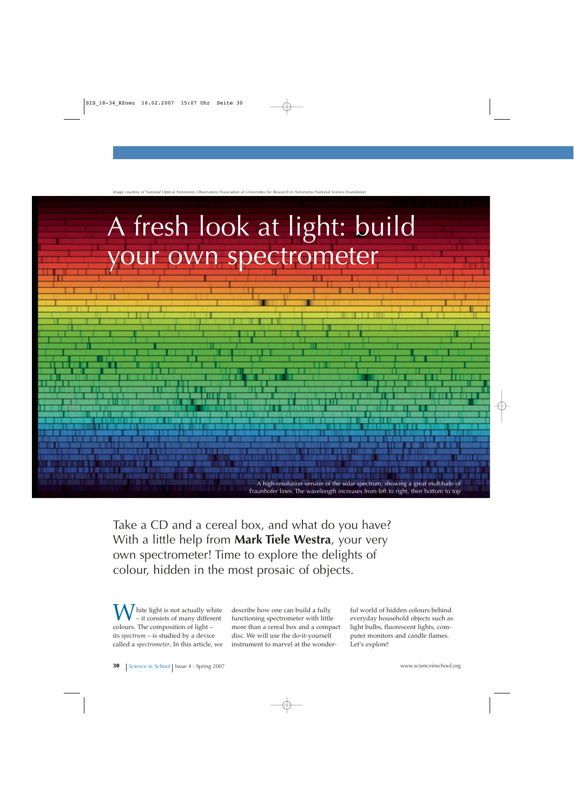

*Image courtesy of National Optical Astronomy Observatory/Association of Universities for Research in Astronomy/National Science Foundation*

Take a CD and a cereal box, and what do you have? With a little help from **Mark Tiele Westra**, your very own spectrometer! Time to explore the delights of colour, hidden in the most prosaic of objects.

hite light is not actually white – it consists of many different colours. The composition of light – its *spectrum* – is studied by a device called a *spectrometer*. In this article, we

describe how one can build a fully functioning spectrometer with little more than a cereal box and a compact disc. We will use the do-it-yourself instrument to marvel at the wonderful world of hidden colours behind everyday household objects such as light bulbs, fluorescent lights, computer monitors and candle flames. Let's explore!

A high-resolution version of the solar spectrum, showing a great multitude of Fraunhofer lines. The wavelength increases from left to right, then bottom to top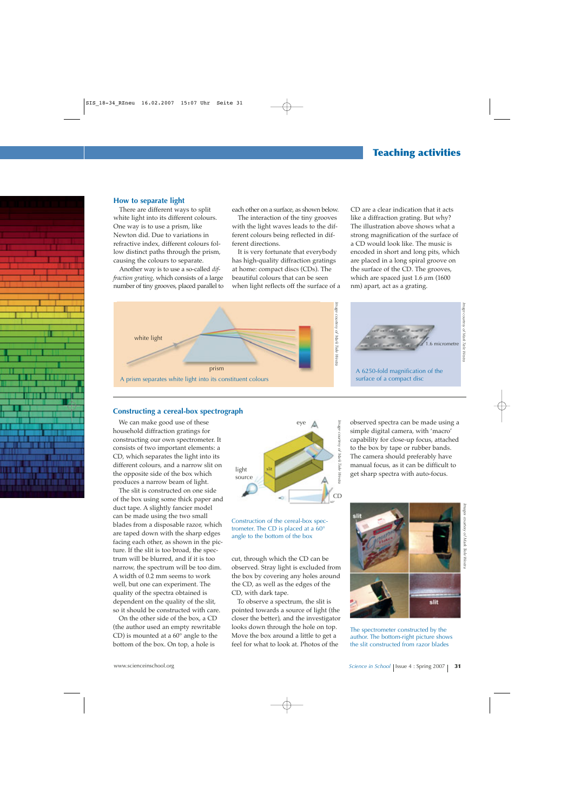# **Teaching activities**

#### **How to separate light**

There are different ways to split white light into its different colours. One way is to use a prism, like Newton did. Due to variations in refractive index, different colours follow distinct paths through the prism, causing the colours to separate.

Another way is to use a so-called *diffraction grating*, which consists of a large number of tiny grooves, placed parallel to each other on a surface, as shown below.

The interaction of the tiny grooves with the light waves leads to the different colours being reflected in different directions.

It is very fortunate that everybody has high-quality diffraction gratings at home: compact discs (CDs). The beautiful colours that can be seen when light reflects off the surface of a





CD are a clear indication that it acts like a diffraction grating. But why? The illustration above shows what a strong magnification of the surface of a CD would look like. The music is encoded in short and long pits, which are placed in a long spiral groove on the surface of the CD. The grooves, which are spaced just  $1.6 \mu m$  (1600) nm) apart, act as a grating.



# **Constructing a cereal-box spectrograph**

We can make good use of these household diffraction gratings for constructing our own spectrometer. It consists of two important elements: a CD, which separates the light into its different colours, and a narrow slit on the opposite side of the box which produces a narrow beam of light.

The slit is constructed on one side of the box using some thick paper and duct tape. A slightly fancier model can be made using the two small blades from a disposable razor, which are taped down with the sharp edges facing each other, as shown in the picture. If the slit is too broad, the spectrum will be blurred, and if it is too narrow, the spectrum will be too dim. A width of 0.2 mm seems to work well, but one can experiment. The quality of the spectra obtained is dependent on the quality of the slit, so it should be constructed with care.

On the other side of the box, a CD (the author used an empty rewritable CD) is mounted at a 60° angle to the bottom of the box. On top, a hole is



Construction of the cereal-box spectrometer. The CD is placed at a 60° angle to the bottom of the box

cut, through which the CD can be observed. Stray light is excluded from the box by covering any holes around the CD, as well as the edges of the CD, with dark tape.

To observe a spectrum, the slit is pointed towards a source of light (the closer the better), and the investigator looks down through the hole on top. Move the box around a little to get a feel for what to look at. Photos of the

observed spectra can be made using a simple digital camera, with 'macro' capability for close-up focus, attached to the box by tape or rubber bands. The camera should preferably have manual focus, as it can be difficult to get sharp spectra with auto-focus.



The spectrometer constructed by the author. The bottom-right picture shows the slit constructed from razor blades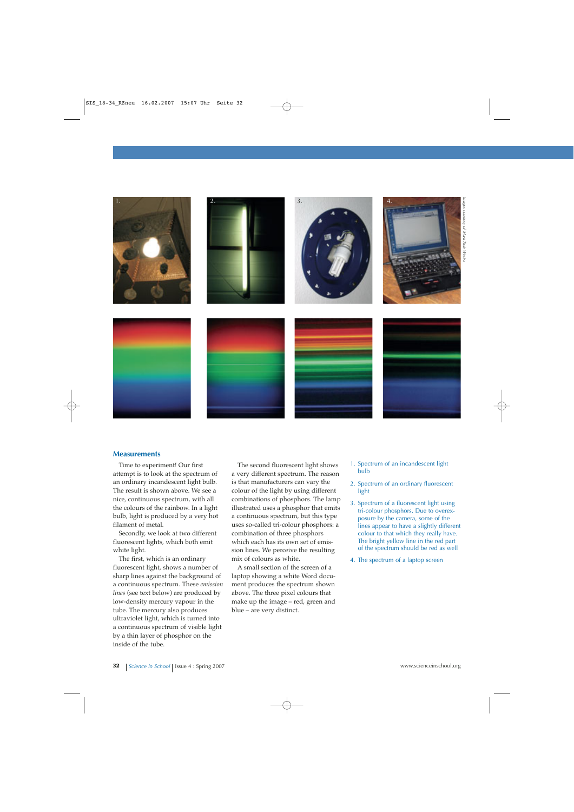

# **Measurements**

Time to experiment! Our first attempt is to look at the spectrum of an ordinary incandescent light bulb. The result is shown above. We see a nice, continuous spectrum, with all the colours of the rainbow. In a light bulb, light is produced by a very hot filament of metal.

Secondly, we look at two different fluorescent lights, which both emit white light.

The first, which is an ordinary fluorescent light, shows a number of sharp lines against the background of a continuous spectrum. These *emission lines* (see text below) are produced by low-density mercury vapour in the tube. The mercury also produces ultraviolet light, which is turned into a continuous spectrum of visible light by a thin layer of phosphor on the inside of the tube.

The second fluorescent light shows a very different spectrum. The reason is that manufacturers can vary the colour of the light by using different combinations of phosphors. The lamp illustrated uses a phosphor that emits a continuous spectrum, but this type uses so-called tri-colour phosphors: a combination of three phosphors which each has its own set of emission lines. We perceive the resulting mix of colours as white.

A small section of the screen of a laptop showing a white Word document produces the spectrum shown above. The three pixel colours that make up the image – red, green and blue – are very distinct.

- 1. Spectrum of an incandescent light bulb
- 2. Spectrum of an ordinary fluorescent light
- 3. Spectrum of a fluorescent light using tri-colour phosphors. Due to overexposure by the camera, some of the lines appear to have a slightly different colour to that which they really have. The bright yellow line in the red part of the spectrum should be red as well
- 4. The spectrum of a laptop screen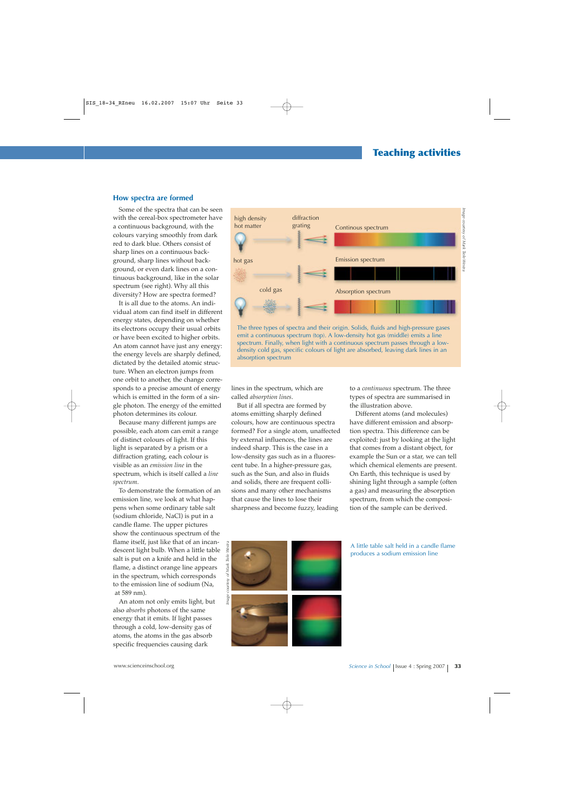#### **How spectra are formed**

Some of the spectra that can be seen with the cereal-box spectrometer have a continuous background, with the colours varying smoothly from dark red to dark blue. Others consist of sharp lines on a continuous background, sharp lines without background, or even dark lines on a continuous background, like in the solar spectrum (see right). Why all this diversity? How are spectra formed?

It is all due to the atoms. An individual atom can find itself in different energy states, depending on whether its electrons occupy their usual orbits or have been excited to higher orbits. An atom cannot have just any energy: the energy levels are sharply defined, dictated by the detailed atomic structure. When an electron jumps from one orbit to another, the change corresponds to a precise amount of energy which is emitted in the form of a single photon. The energy of the emitted photon determines its colour.

Because many different jumps are possible, each atom can emit a range of distinct colours of light. If this light is separated by a prism or a diffraction grating, each colour is visible as an *emission line* in the spectrum, which is itself called a *line spectrum*.

To demonstrate the formation of an emission line, we look at what happens when some ordinary table salt (sodium chloride, NaCl) is put in a candle flame. The upper pictures show the continuous spectrum of the flame itself, just like that of an incandescent light bulb. When a little table salt is put on a knife and held in the flame, a distinct orange line appears in the spectrum, which corresponds to the emission line of sodium (Na, at 589 nm).

An atom not only emits light, but also *absorbs* photons of the same energy that it emits. If light passes through a cold, low-density gas of atoms, the atoms in the gas absorb specific frequencies causing dark



The three types of spectra and their origin. Solids, fluids and high-pressure gases emit a continuous spectrum (top). A low-density hot gas (middle) emits a line spectrum. Finally, when light with a continuous spectrum passes through a lowdensity cold gas, specific colours of light are absorbed, leaving dark lines in an absorption spectrum

lines in the spectrum, which are called *absorption lines*.

But if all spectra are formed by atoms emitting sharply defined colours, how are continuous spectra formed? For a single atom, unaffected by external influences, the lines are indeed sharp. This is the case in a low-density gas such as in a fluorescent tube. In a higher-pressure gas, such as the Sun, and also in fluids and solids, there are frequent collisions and many other mechanisms that cause the lines to lose their sharpness and become fuzzy, leading

to a *continuous* spectrum. The three types of spectra are summarised in the illustration above.

Different atoms (and molecules) have different emission and absorption spectra. This difference can be exploited: just by looking at the light that comes from a distant object, for example the Sun or a star, we can tell which chemical elements are present. On Earth, this technique is used by shining light through a sample (often a gas) and measuring the absorption spectrum, from which the composition of the sample can be derived.



A little table salt held in a candle flame produces a sodium emission line